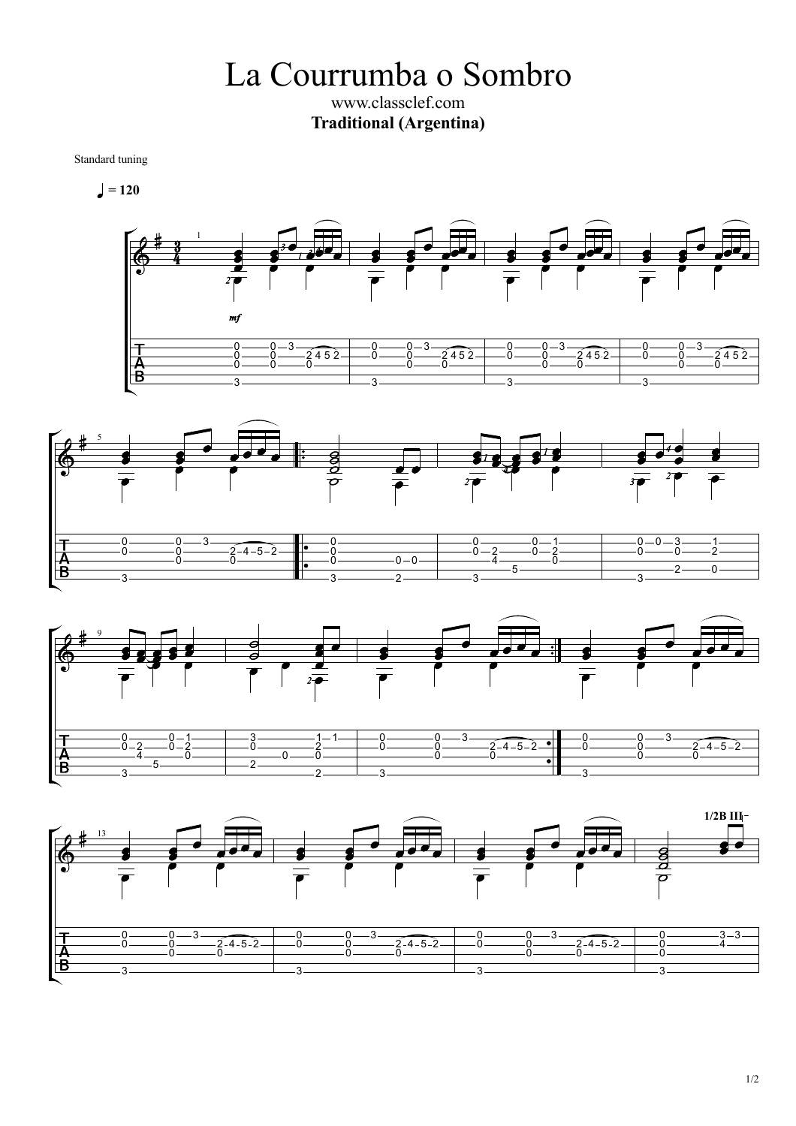La Courrumba o Sombro www.classclef.com **Traditional (Argentina)**

Standard tuning

$$
\blacktriangleleft=120
$$